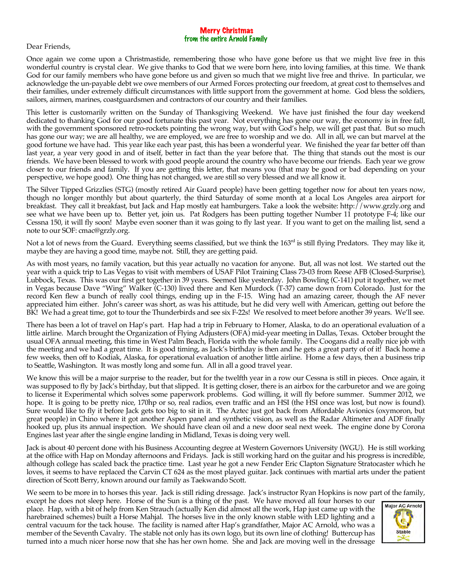## Merry Christmas from the entire Arnold Family

Dear Friends,

Once again we come upon a Christmastide, remembering those who have gone before us that we might live free in this wonderful country is crystal clear. We give thanks to God that we were born here, into loving families, at this time. We thank God for our family members who have gone before us and given so much that we might live free and thrive. In particular, we acknowledge the un-payable debt we owe members of our Armed Forces protecting our freedom, at great cost to themselves and their families, under extremely difficult circumstances with little support from the government at home. God bless the soldiers, sailors, airmen, marines, coastguardsmen and contractors of our country and their families.

This letter is customarily written on the Sunday of Thanksgiving Weekend. We have just finished the four day weekend dedicated to thanking God for our good fortunate this past year. Not everything has gone our way, the economy is in free fall, with the government sponsored retro-rockets pointing the wrong way, but with God's help, we will get past that. But so much has gone our way; we are all healthy, we are employed, we are free to worship and we do. All in all, we can but marvel at the good fortune we have had. This year like each year past, this has been a wonderful year. We finished the year far better off than last year, a year very good in and of itself, better in fact than the year before that. The thing that stands out the most is our friends. We have been blessed to work with good people around the country who have become our friends. Each year we grow closer to our friends and family. If you are getting this letter, that means you (that may be good or bad depending on your perspective, we hope good). One thing has not changed, we are still so very blessed and we all know it.

The Silver Tipped Grizzlies (STG) (mostly retired Air Guard people) have been getting together now for about ten years now, though no longer monthly but about quarterly, the third Saturday of some month at a local Los Angeles area airport for breakfast. They call it breakfast, but Jack and Hap mostly eat hamburgers. Take a look the website: http://www.grzly.org and see what we have been up to. Better yet, join us. Pat Rodgers has been putting together Number 11 prototype F-4; like our Cessna 150, it will fly soon! Maybe even sooner than it was going to fly last year. If you want to get on the mailing list, send a note to our SOF: cmac@grzly.org.

Not a lot of news from the Guard. Everything seems classified, but we think the 163<sup>rd</sup> is still flying Predators. They may like it, maybe they are having a good time, maybe not. Still, they are getting paid.

As with most years, no family vacation, but this year actually no vacation for anyone. But, all was not lost. We started out the year with a quick trip to Las Vegas to visit with members of USAF Pilot Training Class 73-03 from Reese AFB (Closed-Surprise), Lubbock, Texas. This was our first get together in 39 years. Seemed like yesterday. John Bowling (C-141) put it together, we met in Vegas because Dave "Wing" Walker (C-130) lived there and Ken Murdock (T-37) came down from Colorado. Just for the record Ken flew a bunch of really cool things, ending up in the F-15. Wing had an amazing career, though the AF never appreciated him either. John's career was short, as was his attitude, but he did very well with American, getting out before the BK! We had a great time, got to tour the Thunderbirds and see six F-22s! We resolved to meet before another 39 years. We'll see.

There has been a lot of travel on Hap's part. Hap had a trip in February to Homer, Alaska, to do an operational evaluation of a little airline. March brought the Organization of Flying Adjusters (OFA) mid-year meeting in Dallas, Texas. October brought the usual OFA annual meeting, this time in West Palm Beach, Florida with the whole family. The Coogans did a really nice job with the meeting and we had a great time. It is good timing, as Jack's birthday is then and he gets a great party of of it! Back home a few weeks, then off to Kodiak, Alaska, for operational evaluation of another little airline. Home a few days, then a business trip to Seattle, Washington. It was mostly long and some fun. All in all a good travel year.

We know this will be a major surprise to the reader, but for the twelfth year in a row our Cessna is still in pieces. Once again, it was supposed to fly by Jack's birthday, but that slipped. It is getting closer, there is an airbox for the carburetor and we are going to license it Experimental which solves some paperwork problems. God willing, it will fly before summer. Summer 2012, we hope. It is going to be pretty nice, 170hp or so, real radios, even traffic and an HSI (the HSI once was lost, but now is found). Sure would like to fly it before Jack gets too big to sit in it. The Aztec just got back from Affordable Avionics (oxymoron, but great people) in Chino where it got another Aspen panel and synthetic vision, as well as the Radar Altimeter and ADF finally hooked up, plus its annual inspection. We should have clean oil and a new door seal next week. The engine done by Corona Engines last year after the single engine landing in Midland, Texas is doing very well.

Jack is about 40 percent done with his Business Accounting degree at Western Governors University (WGU). He is still working at the office with Hap on Monday afternoons and Fridays. Jack is still working hard on the guitar and his progress is incredible, although college has scaled back the practice time. Last year he got a new Fender Eric Clapton Signature Stratocaster which he loves, it seems to have replaced the Carvin CT 624 as the most played guitar. Jack continues with martial arts under the patient direction of Scott Berry, known around our family as Taekwando Scott.

We seem to be more in to horses this year. Jack is still riding dressage. Jack's instructor Ryan Hopkins is now part of the family,

except he does not sleep here. Horse of the Sun is a thing of the past. We have moved all four horses to our place. Hap, with a bit of help from Ken Strauch (actually Ken did almost all the work, Hap just came up with the harebrained schemes) built a Horse Mahjal. The horses live in the only known stable with LED lighting and a central vacuum for the tack house. The facility is named after Hap's grandfather, Major AC Arnold, who was a member of the Seventh Cavalry. The stable not only has its own logo, but its own line of clothing! Buttercup has turned into a much nicer horse now that she has her own home. She and Jack are moving well in the dressage